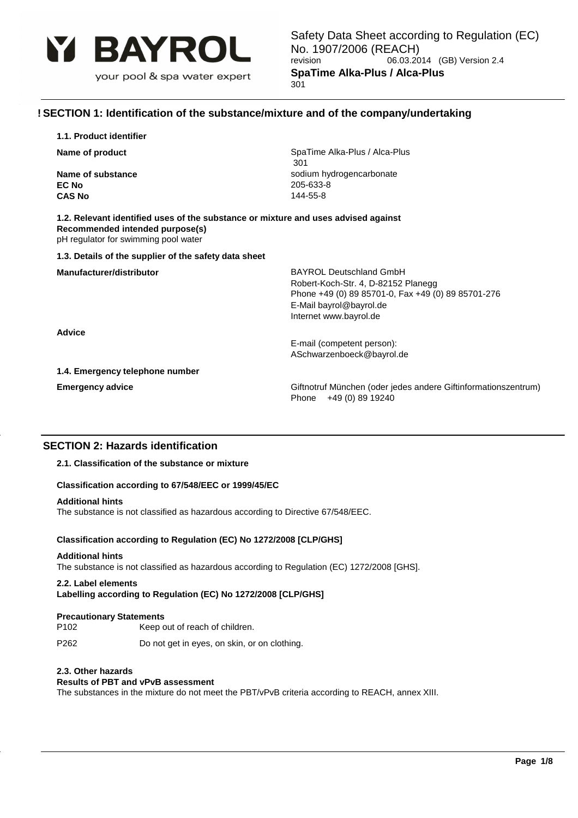

# **! SECTION 1: Identification of the substance/mixture and of the company/undertaking**

| 1.1. Product identifier |  |
|-------------------------|--|
|-------------------------|--|

**EC No** 205-633-8 **CAS No** 144-55-8

**Name of product** SpaTime Alka-Plus / Alca-Plus / Alca-Plus / Alca-Plus / Alca-Plus / Alca-Plus / Alca-Plus / Alca-Plus / Alca-Plus / Alca-Plus / Alca-Plus / Alca-Plus / Alca-Plus / Alca-Plus / Alca-Plus / Alca-Plus / Alca 301 **Name of substance** sodium hydrogencarbonate

| 1.2. Relevant identified uses of the substance or mixture and uses advised against |  |
|------------------------------------------------------------------------------------|--|
| Recommended intended purpose(s)                                                    |  |
| pH regulator for swimming pool water                                               |  |

#### **1.3. Details of the supplier of the safety data sheet**

**Manufacturer/distributor BAYROL Deutschland GmbH** Robert-Koch-Str. 4, D-82152 Planegg Phone +49 (0) 89 85701-0, Fax +49 (0) 89 85701-276 E-Mail bayrol@bayrol.de Internet www.bayrol.de

**Advice**

E-mail (competent person): ASchwarzenboeck@bayrol.de

**1.4. Emergency telephone number**

**Emergency advice Giftnotruf München (oder jedes andere Giftinformationszentrum)** Phone +49 (0) 89 19240

# **SECTION 2: Hazards identification**

# **2.1. Classification of the substance or mixture**

#### **Classification according to 67/548/EEC or 1999/45/EC**

#### **Additional hints**

The substance is not classified as hazardous according to Directive 67/548/EEC.

#### **Classification according to Regulation (EC) No 1272/2008 [CLP/GHS]**

#### **Additional hints**

The substance is not classified as hazardous according to Regulation (EC) 1272/2008 [GHS].

#### **2.2. Label elements**

**Labelling according to Regulation (EC) No 1272/2008 [CLP/GHS]**

#### **Precautionary Statements**

P102 Keep out of reach of children.

P262 Do not get in eyes, on skin, or on clothing.

#### **2.3. Other hazards**

### **Results of PBT and vPvB assessment**

The substances in the mixture do not meet the PBT/vPvB criteria according to REACH, annex XIII.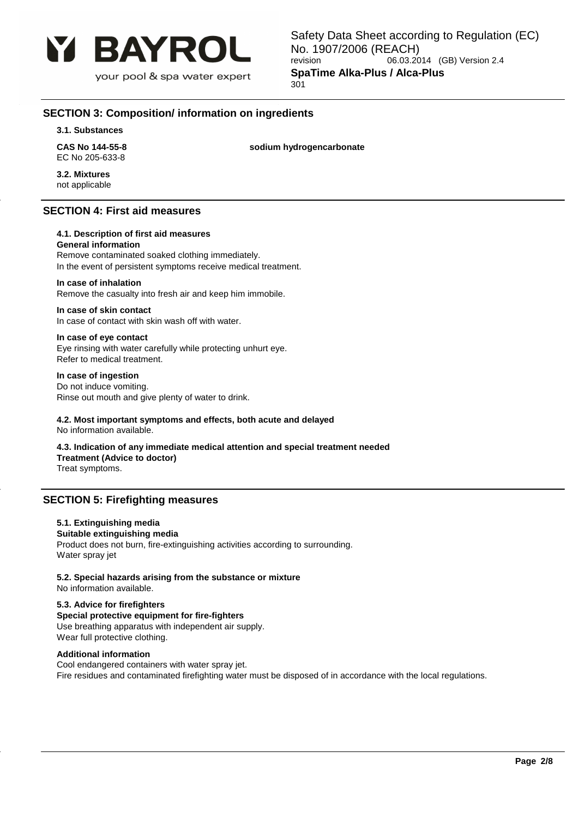

# **SECTION 3: Composition/ information on ingredients**

**3.1. Substances**

**CAS No 144-55-8 sodium hydrogencarbonate** EC No 205-633-8

**3.2. Mixtures** not applicable

# **SECTION 4: First aid measures**

# **4.1. Description of first aid measures**

**General information**

Remove contaminated soaked clothing immediately. In the event of persistent symptoms receive medical treatment.

### **In case of inhalation**

Remove the casualty into fresh air and keep him immobile.

#### **In case of skin contact**

In case of contact with skin wash off with water.

# **In case of eye contact**

Eye rinsing with water carefully while protecting unhurt eye. Refer to medical treatment.

# **In case of ingestion**

Do not induce vomiting. Rinse out mouth and give plenty of water to drink.

# **4.2. Most important symptoms and effects, both acute and delayed**

No information available.

#### **4.3. Indication of any immediate medical attention and special treatment needed Treatment (Advice to doctor)**

Treat symptoms.

# **SECTION 5: Firefighting measures**

# **5.1. Extinguishing media**

#### **Suitable extinguishing media**

Product does not burn, fire-extinguishing activities according to surrounding. Water spray jet

# **5.2. Special hazards arising from the substance or mixture**

No information available.

# **5.3. Advice for firefighters**

**Special protective equipment for fire-fighters** Use breathing apparatus with independent air supply. Wear full protective clothing.

# **Additional information**

Cool endangered containers with water spray jet. Fire residues and contaminated firefighting water must be disposed of in accordance with the local regulations.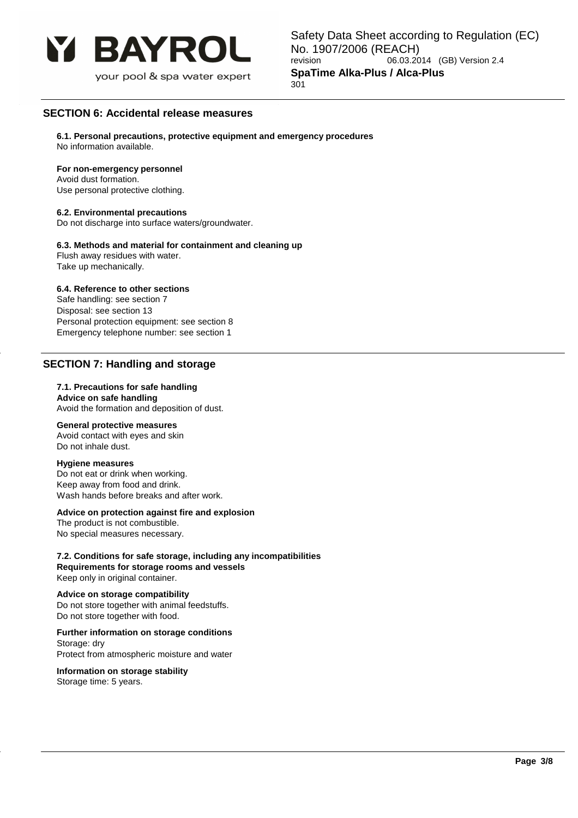

# **SECTION 6: Accidental release measures**

**6.1. Personal precautions, protective equipment and emergency procedures** No information available.

#### **For non-emergency personnel**

Avoid dust formation. Use personal protective clothing.

### **6.2. Environmental precautions**

Do not discharge into surface waters/groundwater.

#### **6.3. Methods and material for containment and cleaning up**

Flush away residues with water. Take up mechanically.

### **6.4. Reference to other sections**

Safe handling: see section 7 Disposal: see section 13 Personal protection equipment: see section 8 Emergency telephone number: see section 1

# **SECTION 7: Handling and storage**

#### **7.1. Precautions for safe handling Advice on safe handling**

Avoid the formation and deposition of dust.

# **General protective measures**

Avoid contact with eyes and skin Do not inhale dust.

#### **Hygiene measures**

Do not eat or drink when working. Keep away from food and drink. Wash hands before breaks and after work.

#### **Advice on protection against fire and explosion**

The product is not combustible. No special measures necessary.

**7.2. Conditions for safe storage, including any incompatibilities Requirements for storage rooms and vessels** Keep only in original container.

#### **Advice on storage compatibility**

Do not store together with animal feedstuffs. Do not store together with food.

# **Further information on storage conditions**

Storage: dry Protect from atmospheric moisture and water

**Information on storage stability** Storage time: 5 years.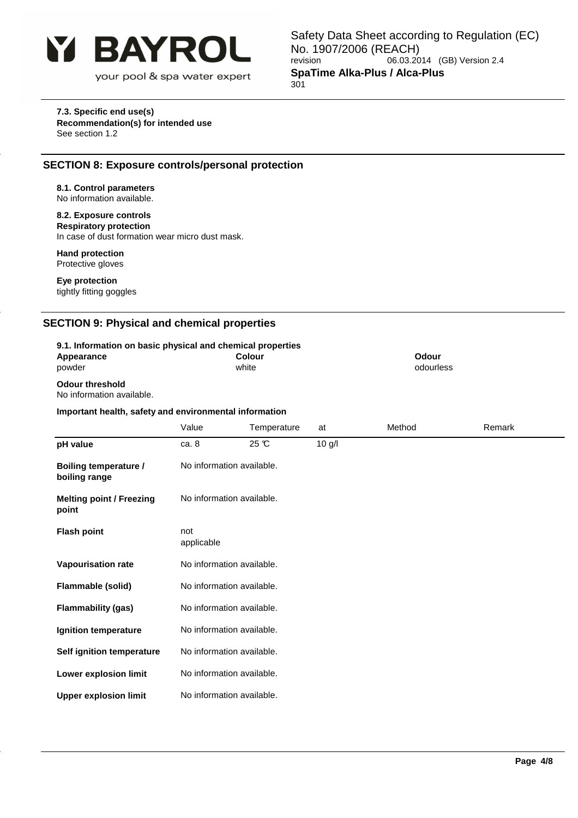

### **7.3. Specific end use(s) Recommendation(s) for intended use** See section 1.2

# **SECTION 8: Exposure controls/personal protection**

#### **8.1. Control parameters** No information available.

**8.2. Exposure controls Respiratory protection** In case of dust formation wear micro dust mask.

#### **Hand protection** Protective gloves

**Eye protection** tightly fitting goggles

# **SECTION 9: Physical and chemical properties**

| 9.1. Information on basic physical and chemical properties<br>Appearance<br>powder |                           | <b>Colour</b><br>white |          | <b>Odour</b><br>odourless |        |
|------------------------------------------------------------------------------------|---------------------------|------------------------|----------|---------------------------|--------|
| <b>Odour threshold</b><br>No information available.                                |                           |                        |          |                           |        |
| Important health, safety and environmental information                             |                           |                        |          |                           |        |
|                                                                                    | Value                     | Temperature            | at       | Method                    | Remark |
| pH value                                                                           | ca. 8                     | $25 \text{ C}$         | $10$ g/l |                           |        |
| <b>Boiling temperature /</b><br>boiling range                                      | No information available. |                        |          |                           |        |
| <b>Melting point / Freezing</b><br>point                                           | No information available. |                        |          |                           |        |
| <b>Flash point</b>                                                                 | not<br>applicable         |                        |          |                           |        |

**Vapourisation rate** No information available.

**Flammable (solid)** No information available. **Flammability (gas)** No information available.

**Ignition temperature** No information available.

**Self ignition temperature** No information available.

**Lower explosion limit** No information available.

**Upper explosion limit** No information available.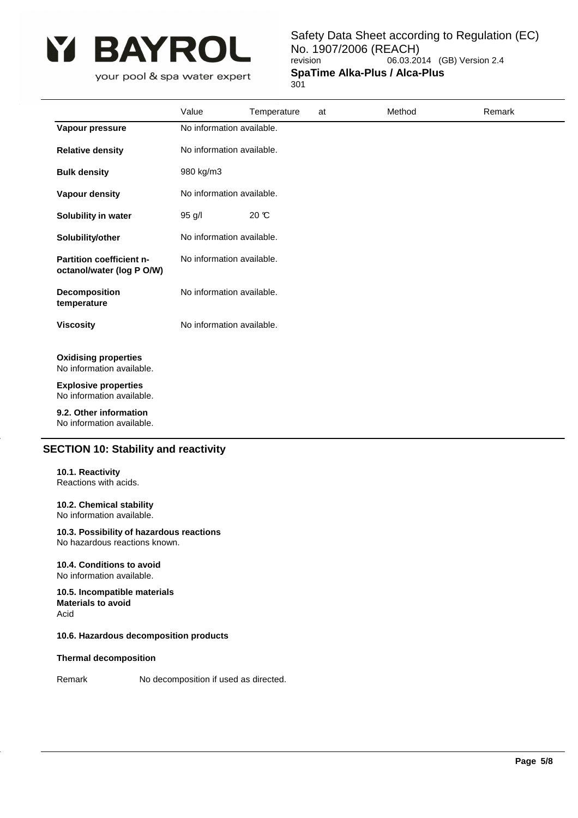

Safety Data Sheet according to Regulation (EC) No. 1907/2006 (REACH)<br>revision 06.03.20 06.03.2014 (GB) Version 2.4 **SpaTime Alka-Plus / Alca-Plus**

301

|                                                          | Value                     | Temperature               | at | Method | Remark |  |
|----------------------------------------------------------|---------------------------|---------------------------|----|--------|--------|--|
| Vapour pressure                                          | No information available. |                           |    |        |        |  |
| <b>Relative density</b>                                  | No information available. |                           |    |        |        |  |
| <b>Bulk density</b>                                      | 980 kg/m3                 |                           |    |        |        |  |
| <b>Vapour density</b>                                    | No information available. |                           |    |        |        |  |
| Solubility in water                                      | 95 g/l                    | $20 \text{ C}$            |    |        |        |  |
| Solubility/other                                         |                           | No information available. |    |        |        |  |
| Partition coefficient n-<br>octanol/water (log P O/W)    | No information available. |                           |    |        |        |  |
| Decomposition<br>temperature                             | No information available. |                           |    |        |        |  |
| <b>Viscosity</b>                                         | No information available. |                           |    |        |        |  |
| <b>Oxidising properties</b><br>No information available. |                           |                           |    |        |        |  |
| <b>Explosive properties</b><br>No information available. |                           |                           |    |        |        |  |
| 9.2. Other information<br>No information available.      |                           |                           |    |        |        |  |

# **SECTION 10: Stability and reactivity**

#### **10.1. Reactivity** Reactions with acids.

# **10.2. Chemical stability**

No information available.

# **10.3. Possibility of hazardous reactions**

No hazardous reactions known.

#### **10.4. Conditions to avoid** No information available.

**10.5. Incompatible materials Materials to avoid** Acid

# **10.6. Hazardous decomposition products**

# **Thermal decomposition**

Remark No decomposition if used as directed.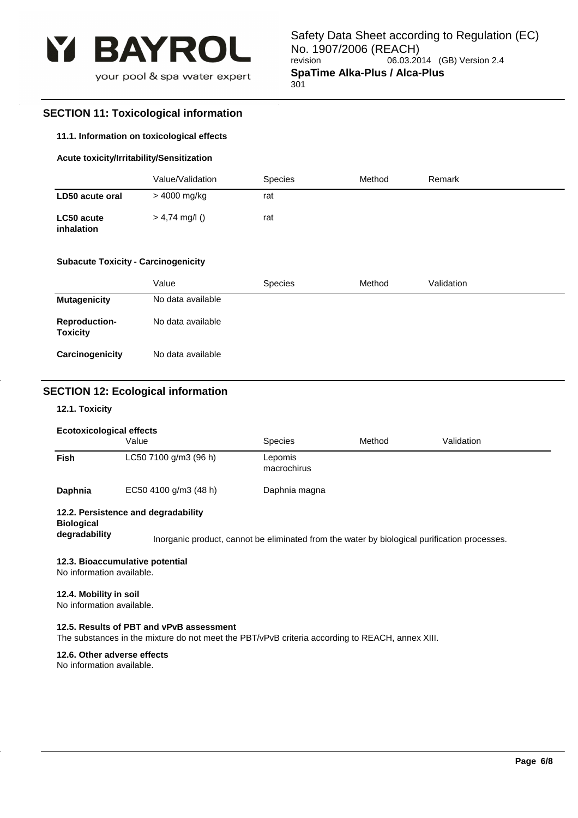

# **SECTION 11: Toxicological information**

#### **11.1. Information on toxicological effects**

### **Acute toxicity/Irritability/Sensitization**

|                          | Value/Validation | <b>Species</b> | Method | Remark |
|--------------------------|------------------|----------------|--------|--------|
| LD50 acute oral          | > 4000 mg/kg     | rat            |        |        |
| LC50 acute<br>inhalation | $> 4,74$ mg/l () | rat            |        |        |

#### **Subacute Toxicity - Carcinogenicity**

|                                         | Value             | <b>Species</b> | Method | Validation |
|-----------------------------------------|-------------------|----------------|--------|------------|
| <b>Mutagenicity</b>                     | No data available |                |        |            |
| <b>Reproduction-</b><br><b>Toxicity</b> | No data available |                |        |            |
| Carcinogenicity                         | No data available |                |        |            |

# **SECTION 12: Ecological information**

### **12.1. Toxicity**

#### **Ecotoxicological effects**

|             | Value                 | <b>Species</b>         | Method | Validation |
|-------------|-----------------------|------------------------|--------|------------|
| <b>Fish</b> | LC50 7100 g/m3 (96 h) | Lepomis<br>macrochirus |        |            |
| Daphnia     | EC50 4100 g/m3 (48 h) | Daphnia magna          |        |            |

### **12.2. Persistence and degradability**

**Biological** 

**degradability** Inorganic product, cannot be eliminated from the water by biological purification processes.

#### **12.3. Bioaccumulative potential**

No information available.

### **12.4. Mobility in soil**

No information available.

#### **12.5. Results of PBT and vPvB assessment**

The substances in the mixture do not meet the PBT/vPvB criteria according to REACH, annex XIII.

# **12.6. Other adverse effects**

No information available.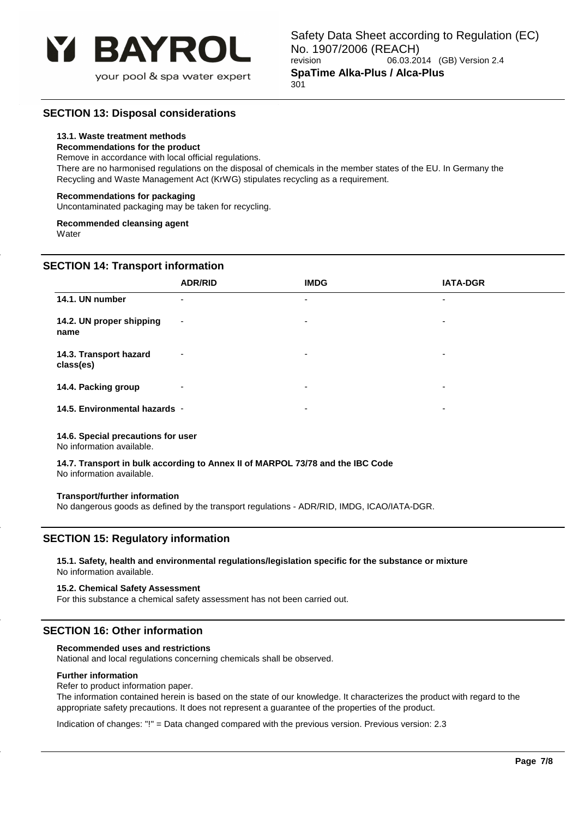

# **SECTION 13: Disposal considerations**

### **13.1. Waste treatment methods**

#### **Recommendations for the product**

Remove in accordance with local official regulations.

There are no harmonised regulations on the disposal of chemicals in the member states of the EU. In Germany the Recycling and Waste Management Act (KrWG) stipulates recycling as a requirement.

#### **Recommendations for packaging**

Uncontaminated packaging may be taken for recycling.

# **Recommended cleansing agent**

**Water** 

# **SECTION 14: Transport information**

|                                     | <b>ADR/RID</b>           | <b>IMDG</b>              | <b>IATA-DGR</b>          |
|-------------------------------------|--------------------------|--------------------------|--------------------------|
| 14.1. UN number                     | $\overline{\phantom{0}}$ | $\overline{\phantom{0}}$ | $\overline{\phantom{0}}$ |
| 14.2. UN proper shipping<br>name    | $\overline{\phantom{a}}$ | ٠                        | ۰                        |
| 14.3. Transport hazard<br>class(es) | $\overline{\phantom{0}}$ | $\overline{\phantom{a}}$ | $\overline{\phantom{0}}$ |
| 14.4. Packing group                 | ۰                        | $\blacksquare$           | $\overline{\phantom{0}}$ |
| 14.5. Environmental hazards -       |                          | $\overline{\phantom{a}}$ | $\overline{\phantom{0}}$ |

#### **14.6. Special precautions for user**

No information available.

#### **14.7. Transport in bulk according to Annex II of MARPOL 73/78 and the IBC Code** No information available.

#### **Transport/further information**

No dangerous goods as defined by the transport regulations - ADR/RID, IMDG, ICAO/IATA-DGR.

# **SECTION 15: Regulatory information**

#### **15.1. Safety, health and environmental regulations/legislation specific for the substance or mixture** No information available.

#### **15.2. Chemical Safety Assessment**

For this substance a chemical safety assessment has not been carried out.

# **SECTION 16: Other information**

#### **Recommended uses and restrictions**

National and local regulations concerning chemicals shall be observed.

#### **Further information**

Refer to product information paper.

The information contained herein is based on the state of our knowledge. It characterizes the product with regard to the appropriate safety precautions. It does not represent a guarantee of the properties of the product.

Indication of changes: "!" = Data changed compared with the previous version. Previous version: 2.3